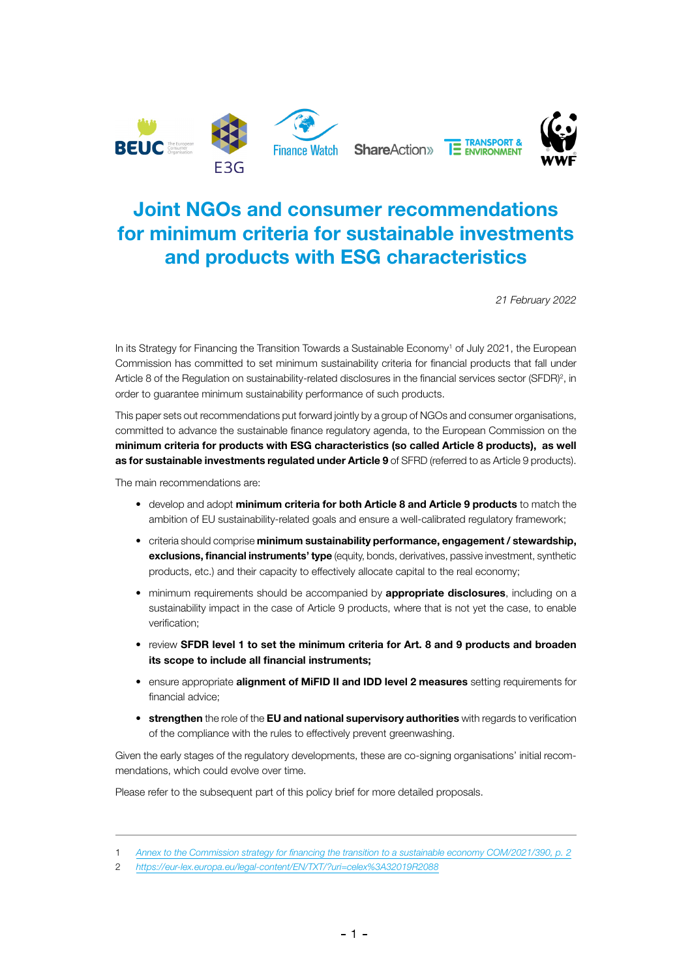

# Joint NGOs and consumer recommendations for minimum criteria for sustainable investments and products with ESG characteristics

*21 February 2022*

In its Strategy for Financing the Transition Towards a Sustainable Economy<sup>1</sup> of July 2021, the European Commission has committed to set minimum sustainability criteria for financial products that fall under Article 8 of the Regulation on sustainability-related disclosures in the financial services sector (SFDR)<sup>2</sup>, in order to guarantee minimum sustainability performance of such products.

This paper sets out recommendations put forward jointly by a group of NGOs and consumer organisations, committed to advance the sustainable finance regulatory agenda, to the European Commission on the minimum criteria for products with ESG characteristics (so called Article 8 products), as well as for sustainable investments regulated under Article 9 of SFRD (referred to as Article 9 products).

The main recommendations are:

- develop and adopt minimum criteria for both Article 8 and Article 9 products to match the ambition of EU sustainability-related goals and ensure a well-calibrated regulatory framework;
- criteria should comprise minimum sustainability performance, engagement / stewardship, exclusions, financial instruments' type (equity, bonds, derivatives, passive investment, synthetic products, etc.) and their capacity to effectively allocate capital to the real economy;
- minimum requirements should be accompanied by **appropriate disclosures**, including on a sustainability impact in the case of Article 9 products, where that is not yet the case, to enable verification;
- review SFDR level 1 to set the minimum criteria for Art. 8 and 9 products and broaden its scope to include all financial instruments;
- ensure appropriate **alignment of MiFID II and IDD level 2 measures** setting requirements for financial advice;
- strengthen the role of the EU and national supervisory authorities with regards to verification of the compliance with the rules to effectively prevent greenwashing.

Given the early stages of the regulatory developments, these are co-signing organisations' initial recommendations, which could evolve over time.

Please refer to the subsequent part of this policy brief for more detailed proposals.

<sup>1</sup> *[Annex to the Commission strategy for financing the transition to a sustainable economy COM/2021/390, p. 2](https://eur-lex.europa.eu/legal-content/EN/TXT/?uri=CELEX:52021DC0390)*

<sup>2</sup> *<https://eur-lex.europa.eu/legal-content/EN/TXT/?uri=celex%3A32019R2088>*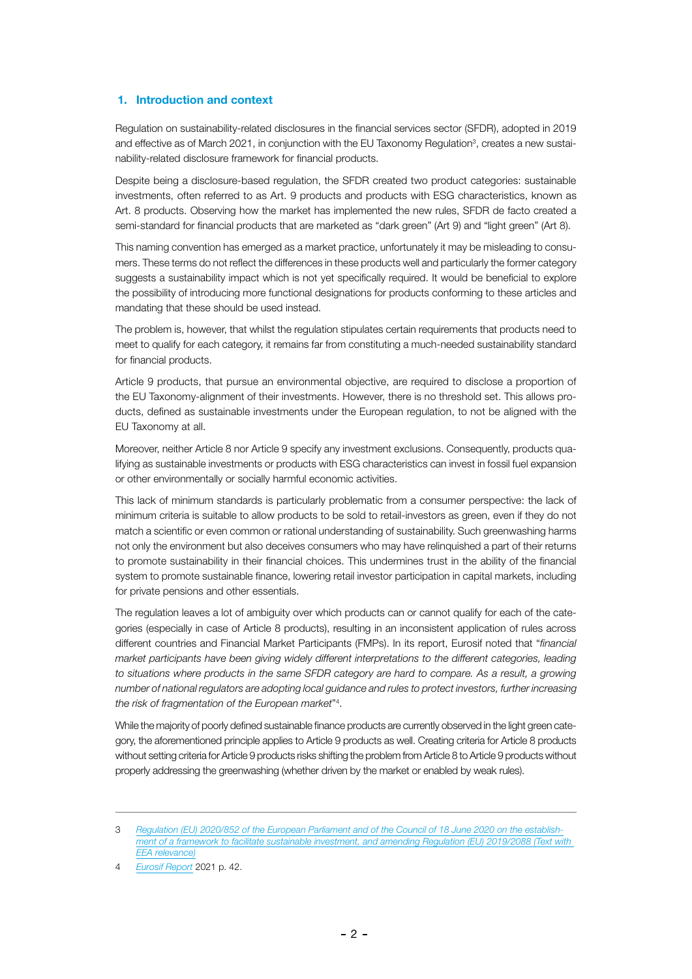# 1. Introduction and context

Regulation on sustainability-related disclosures in the financial services sector (SFDR), adopted in 2019 and effective as of March 2021, in conjunction with the EU Taxonomy Regulation<sup>3</sup>, creates a new sustainability-related disclosure framework for financial products.

Despite being a disclosure-based regulation, the SFDR created two product categories: sustainable investments, often referred to as Art. 9 products and products with ESG characteristics, known as Art. 8 products. Observing how the market has implemented the new rules, SFDR de facto created a semi-standard for financial products that are marketed as "dark green" (Art 9) and "light green" (Art 8).

This naming convention has emerged as a market practice, unfortunately it may be misleading to consumers. These terms do not reflect the differences in these products well and particularly the former category suggests a sustainability impact which is not yet specifically required. It would be beneficial to explore the possibility of introducing more functional designations for products conforming to these articles and mandating that these should be used instead.

The problem is, however, that whilst the regulation stipulates certain requirements that products need to meet to qualify for each category, it remains far from constituting a much-needed sustainability standard for financial products.

Article 9 products, that pursue an environmental objective, are required to disclose a proportion of the EU Taxonomy-alignment of their investments. However, there is no threshold set. This allows products, defined as sustainable investments under the European regulation, to not be aligned with the EU Taxonomy at all.

Moreover, neither Article 8 nor Article 9 specify any investment exclusions. Consequently, products qualifying as sustainable investments or products with ESG characteristics can invest in fossil fuel expansion or other environmentally or socially harmful economic activities.

This lack of minimum standards is particularly problematic from a consumer perspective: the lack of minimum criteria is suitable to allow products to be sold to retail-investors as green, even if they do not match a scientific or even common or rational understanding of sustainability. Such greenwashing harms not only the environment but also deceives consumers who may have relinquished a part of their returns to promote sustainability in their financial choices. This undermines trust in the ability of the financial system to promote sustainable finance, lowering retail investor participation in capital markets, including for private pensions and other essentials.

The regulation leaves a lot of ambiguity over which products can or cannot qualify for each of the categories (especially in case of Article 8 products), resulting in an inconsistent application of rules across different countries and Financial Market Participants (FMPs). In its report, Eurosif noted that "*financial market participants have been giving widely different interpretations to the different categories, leading*  to situations where products in the same SFDR category are hard to compare. As a result, a growing *number of national regulators are adopting local guidance and rules to protect investors, further increasing the risk of fragmentation of the European market*"4 .

While the majority of poorly defined sustainable finance products are currently observed in the light green category, the aforementioned principle applies to Article 9 products as well. Creating criteria for Article 8 products without setting criteria for Article 9 products risks shifting the problem from Article 8 to Article 9 products without properly addressing the greenwashing (whether driven by the market or enabled by weak rules).

4 *[Eurosif Report](https://www.forum-ng.org/fileadmin/Dokumente/Publikationen/2021-Eurosif-Report-Fostering-investor-impact.pdf)* 2021 p. 42.

<sup>3</sup> *[Regulation \(EU\) 2020/852 of the European Parliament and of the Council of 18 June 2020 on the establish](https://eur-lex.europa.eu/legal-content/EN/TXT/?uri=CELEX:32020R0852)[ment of a framework to facilitate sustainable investment, and amending Regulation \(EU\) 2019/2088 \(Text with](https://eur-lex.europa.eu/legal-content/EN/TXT/?uri=CELEX:32020R0852)  [EEA relevance\)](https://eur-lex.europa.eu/legal-content/EN/TXT/?uri=CELEX:32020R0852)*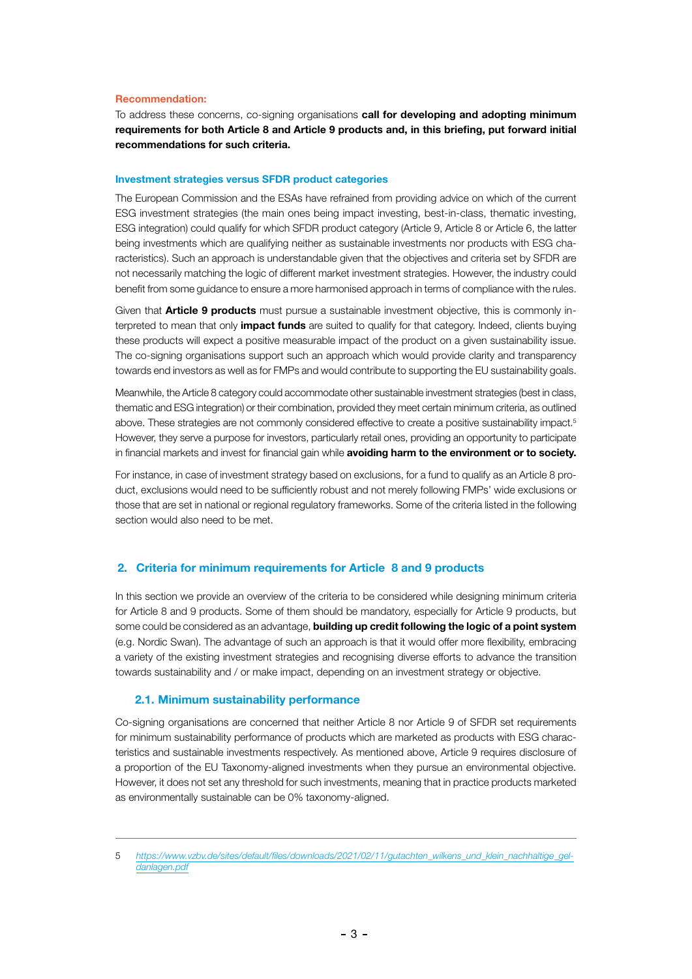#### Recommendation:

To address these concerns, co-signing organisations call for developing and adopting minimum requirements for both Article 8 and Article 9 products and, in this briefing, put forward initial recommendations for such criteria.

#### Investment strategies versus SFDR product categories

The European Commission and the ESAs have refrained from providing advice on which of the current ESG investment strategies (the main ones being impact investing, best-in-class, thematic investing, ESG integration) could qualify for which SFDR product category (Article 9, Article 8 or Article 6, the latter being investments which are qualifying neither as sustainable investments nor products with ESG characteristics). Such an approach is understandable given that the objectives and criteria set by SFDR are not necessarily matching the logic of different market investment strategies. However, the industry could benefit from some guidance to ensure a more harmonised approach in terms of compliance with the rules.

Given that **Article 9 products** must pursue a sustainable investment objective, this is commonly interpreted to mean that only *impact funds* are suited to qualify for that category. Indeed, clients buying these products will expect a positive measurable impact of the product on a given sustainability issue. The co-signing organisations support such an approach which would provide clarity and transparency towards end investors as well as for FMPs and would contribute to supporting the EU sustainability goals.

Meanwhile, the Article 8 category could accommodate other sustainable investment strategies (best in class, thematic and ESG integration) or their combination, provided they meet certain minimum criteria, as outlined above. These strategies are not commonly considered effective to create a positive sustainability impact.<sup>5</sup> However, they serve a purpose for investors, particularly retail ones, providing an opportunity to participate in financial markets and invest for financial gain while avoiding harm to the environment or to society.

For instance, in case of investment strategy based on exclusions, for a fund to qualify as an Article 8 product, exclusions would need to be sufficiently robust and not merely following FMPs' wide exclusions or those that are set in national or regional regulatory frameworks. Some of the criteria listed in the following section would also need to be met.

## 2. Criteria for minimum requirements for Article 8 and 9 products

In this section we provide an overview of the criteria to be considered while designing minimum criteria for Article 8 and 9 products. Some of them should be mandatory, especially for Article 9 products, but some could be considered as an advantage, **building up credit following the logic of a point system** (e.g. Nordic Swan). The advantage of such an approach is that it would offer more flexibility, embracing a variety of the existing investment strategies and recognising diverse efforts to advance the transition towards sustainability and / or make impact, depending on an investment strategy or objective.

#### 2.1. Minimum sustainability performance

Co-signing organisations are concerned that neither Article 8 nor Article 9 of SFDR set requirements for minimum sustainability performance of products which are marketed as products with ESG characteristics and sustainable investments respectively. As mentioned above, Article 9 requires disclosure of a proportion of the EU Taxonomy-aligned investments when they pursue an environmental objective. However, it does not set any threshold for such investments, meaning that in practice products marketed as environmentally sustainable can be 0% taxonomy-aligned.

<sup>5</sup> [https://www.vzbv.de/sites/default/files/downloads/2021/02/11/gutachten\\_wilkens\\_und\\_klein\\_nachhaltige\\_gel](https://www.vzbv.de/sites/default/files/downloads/2021/02/11/gutachten_wilkens_und_klein_nachhaltige_geldanlagen.pdf)*[danlagen.pdf](https://www.vzbv.de/sites/default/files/downloads/2021/02/11/gutachten_wilkens_und_klein_nachhaltige_geldanlagen.pdf)*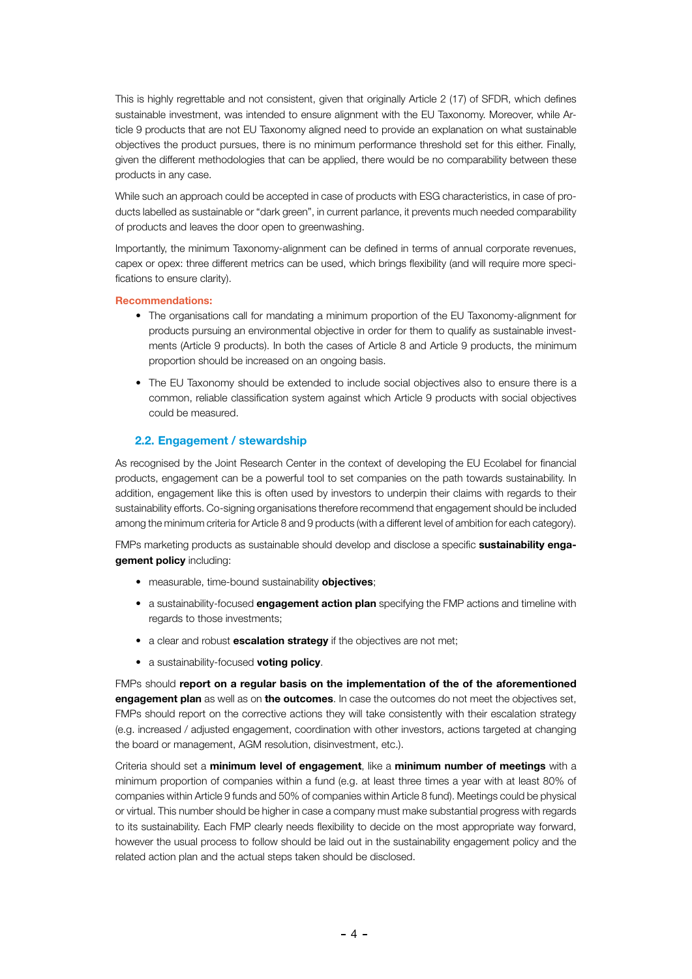This is highly regrettable and not consistent, given that originally Article 2 (17) of SFDR, which defines sustainable investment, was intended to ensure alignment with the EU Taxonomy. Moreover, while Article 9 products that are not EU Taxonomy aligned need to provide an explanation on what sustainable objectives the product pursues, there is no minimum performance threshold set for this either. Finally, given the different methodologies that can be applied, there would be no comparability between these products in any case.

While such an approach could be accepted in case of products with ESG characteristics, in case of products labelled as sustainable or "dark green", in current parlance, it prevents much needed comparability of products and leaves the door open to greenwashing.

Importantly, the minimum Taxonomy-alignment can be defined in terms of annual corporate revenues, capex or opex: three different metrics can be used, which brings flexibility (and will require more specifications to ensure clarity).

# Recommendations:

- The organisations call for mandating a minimum proportion of the EU Taxonomy-alignment for products pursuing an environmental objective in order for them to qualify as sustainable investments (Article 9 products). In both the cases of Article 8 and Article 9 products, the minimum proportion should be increased on an ongoing basis.
- The EU Taxonomy should be extended to include social objectives also to ensure there is a common, reliable classification system against which Article 9 products with social objectives could be measured.

# 2.2. Engagement / stewardship

As recognised by the Joint Research Center in the context of developing the EU Ecolabel for financial products, engagement can be a powerful tool to set companies on the path towards sustainability. In addition, engagement like this is often used by investors to underpin their claims with regards to their sustainability efforts. Co-signing organisations therefore recommend that engagement should be included among the minimum criteria for Article 8 and 9 products (with a different level of ambition for each category).

FMPs marketing products as sustainable should develop and disclose a specific sustainability engagement policy including:

- measurable, time-bound sustainability **objectives**;
- a sustainability-focused **engagement action plan** specifying the FMP actions and timeline with regards to those investments;
- a clear and robust **escalation strategy** if the objectives are not met;
- a sustainability-focused voting policy.

FMPs should report on a regular basis on the implementation of the of the aforementioned engagement plan as well as on the outcomes. In case the outcomes do not meet the objectives set, FMPs should report on the corrective actions they will take consistently with their escalation strategy (e.g. increased / adjusted engagement, coordination with other investors, actions targeted at changing the board or management, AGM resolution, disinvestment, etc.).

Criteria should set a minimum level of engagement, like a minimum number of meetings with a minimum proportion of companies within a fund (e.g. at least three times a year with at least 80% of companies within Article 9 funds and 50% of companies within Article 8 fund). Meetings could be physical or virtual. This number should be higher in case a company must make substantial progress with regards to its sustainability. Each FMP clearly needs flexibility to decide on the most appropriate way forward, however the usual process to follow should be laid out in the sustainability engagement policy and the related action plan and the actual steps taken should be disclosed.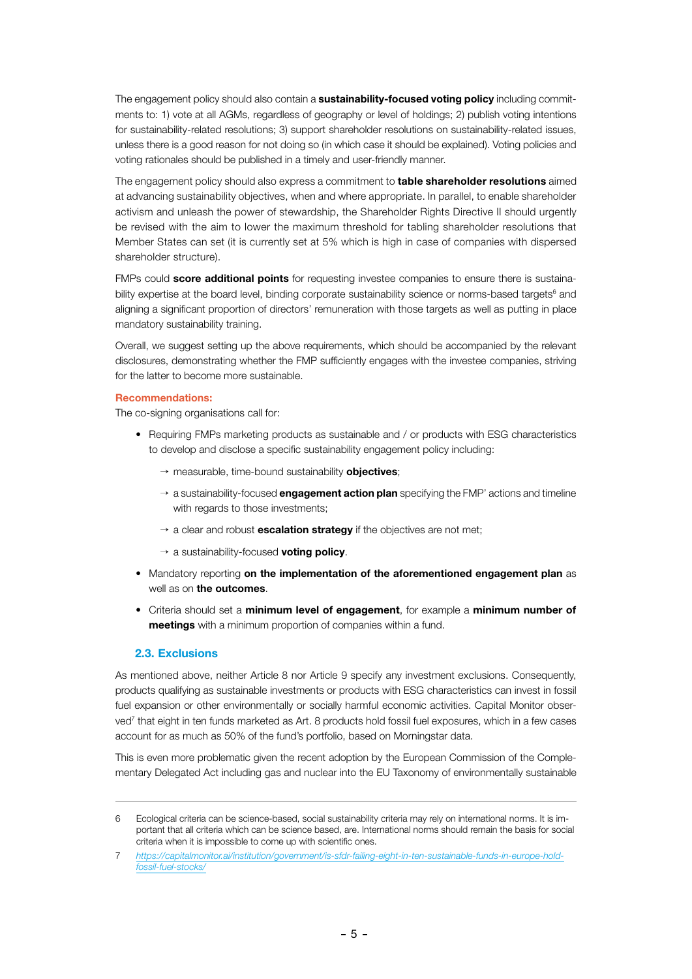The engagement policy should also contain a **sustainability-focused voting policy** including commitments to: 1) vote at all AGMs, regardless of geography or level of holdings; 2) publish voting intentions for sustainability-related resolutions; 3) support shareholder resolutions on sustainability-related issues, unless there is a good reason for not doing so (in which case it should be explained). Voting policies and voting rationales should be published in a timely and user-friendly manner.

The engagement policy should also express a commitment to **table shareholder resolutions** aimed at advancing sustainability objectives, when and where appropriate. In parallel, to enable shareholder activism and unleash the power of stewardship, the Shareholder Rights Directive II should urgently be revised with the aim to lower the maximum threshold for tabling shareholder resolutions that Member States can set (it is currently set at 5% which is high in case of companies with dispersed shareholder structure).

FMPs could score additional points for requesting investee companies to ensure there is sustainability expertise at the board level, binding corporate sustainability science or norms-based targets<sup>6</sup> and aligning a significant proportion of directors' remuneration with those targets as well as putting in place mandatory sustainability training.

Overall, we suggest setting up the above requirements, which should be accompanied by the relevant disclosures, demonstrating whether the FMP sufficiently engages with the investee companies, striving for the latter to become more sustainable.

#### Recommendations:

The co-signing organisations call for:

- Requiring FMPs marketing products as sustainable and / or products with ESG characteristics to develop and disclose a specific sustainability engagement policy including:
	- $\rightarrow$  measurable, time-bound sustainability **objectives**;
	- $\rightarrow$  a sustainability-focused **engagement action plan** specifying the FMP' actions and timeline with regards to those investments:
	- $\rightarrow$  a clear and robust **escalation strategy** if the objectives are not met;
	- $\rightarrow$  a sustainability-focused voting policy.
- Mandatory reporting on the implementation of the aforementioned engagement plan as well as on the outcomes.
- Criteria should set a minimum level of engagement, for example a minimum number of meetings with a minimum proportion of companies within a fund.

#### 2.3. Exclusions

As mentioned above, neither Article 8 nor Article 9 specify any investment exclusions. Consequently, products qualifying as sustainable investments or products with ESG characteristics can invest in fossil fuel expansion or other environmentally or socially harmful economic activities. Capital Monitor observed<sup>7</sup> that eight in ten funds marketed as Art. 8 products hold fossil fuel exposures, which in a few cases account for as much as 50% of the fund's portfolio, based on Morningstar data.

This is even more problematic given the recent adoption by the European Commission of the Complementary Delegated Act including gas and nuclear into the EU Taxonomy of environmentally sustainable

<sup>6</sup> Ecological criteria can be science-based, social sustainability criteria may rely on international norms. It is important that all criteria which can be science based, are. International norms should remain the basis for social criteria when it is impossible to come up with scientific ones.

<sup>7</sup> *[https://capitalmonitor.ai/institution/government/is-sfdr-failing-eight-in-ten-sustainable-funds-in-europe-hold](https://capitalmonitor.ai/institution/government/is-sfdr-failing-eight-in-ten-sustainable-funds-in-europe-hold-fossil-fuel-stocks/)[fossil-fuel-stocks/](https://capitalmonitor.ai/institution/government/is-sfdr-failing-eight-in-ten-sustainable-funds-in-europe-hold-fossil-fuel-stocks/)*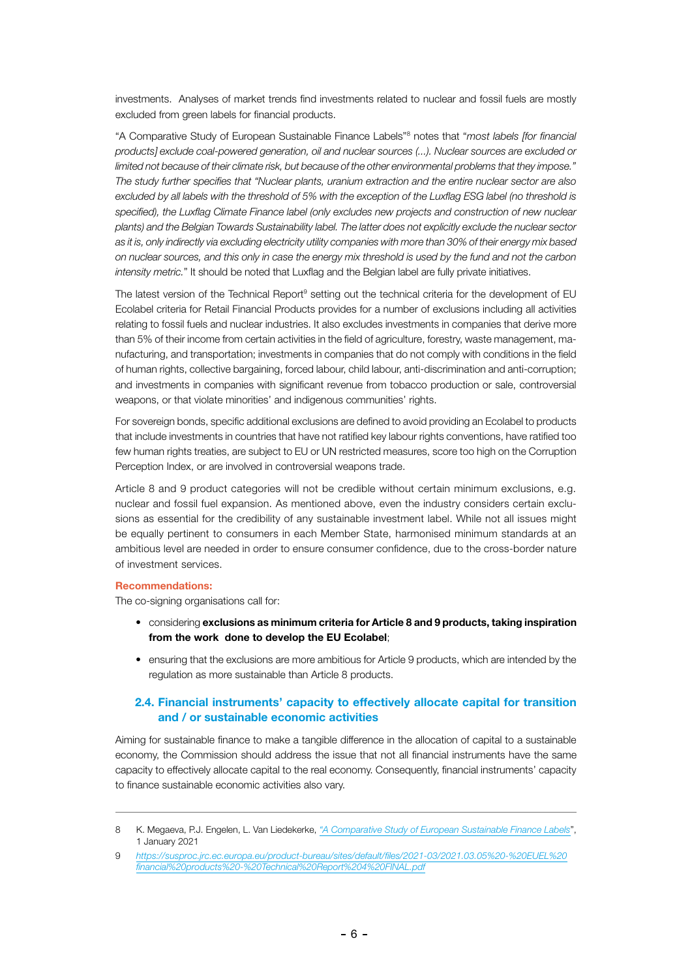investments. Analyses of market trends find investments related to nuclear and fossil fuels are mostly excluded from green labels for financial products.

"A Comparative Study of European Sustainable Finance Labels"8 notes that "*most labels [for financial products] exclude coal-powered generation, oil and nuclear sources (...). Nuclear sources are excluded or limited not because of their climate risk, but because of the other environmental problems that they impose." The study further specifies that "Nuclear plants, uranium extraction and the entire nuclear sector are also excluded by all labels with the threshold of 5% with the exception of the Luxflag ESG label (no threshold is*  specified), the Luxflag Climate Finance label (only excludes new projects and construction of new nuclear *plants) and the Belgian Towards Sustainability label. The latter does not explicitly exclude the nuclear sector as it is, only indirectly via excluding electricity utility companies with more than 30% of their energy mix based on nuclear sources, and this only in case the energy mix threshold is used by the fund and not the carbon intensity metric.*" It should be noted that Luxflag and the Belgian label are fully private initiatives.

The latest version of the Technical Report<sup>9</sup> setting out the technical criteria for the development of EU Ecolabel criteria for Retail Financial Products provides for a number of exclusions including all activities relating to fossil fuels and nuclear industries. It also excludes investments in companies that derive more than 5% of their income from certain activities in the field of agriculture, forestry, waste management, manufacturing, and transportation; investments in companies that do not comply with conditions in the field of human rights, collective bargaining, forced labour, child labour, anti-discrimination and anti-corruption; and investments in companies with significant revenue from tobacco production or sale, controversial weapons, or that violate minorities' and indigenous communities' rights.

For sovereign bonds, specific additional exclusions are defined to avoid providing an Ecolabel to products that include investments in countries that have not ratified key labour rights conventions, have ratified too few human rights treaties, are subject to EU or UN restricted measures, score too high on the Corruption Perception Index, or are involved in controversial weapons trade.

Article 8 and 9 product categories will not be credible without certain minimum exclusions, e.g. nuclear and fossil fuel expansion. As mentioned above, even the industry considers certain exclusions as essential for the credibility of any sustainable investment label. While not all issues might be equally pertinent to consumers in each Member State, harmonised minimum standards at an ambitious level are needed in order to ensure consumer confidence, due to the cross-border nature of investment services.

#### Recommendations:

The co-signing organisations call for:

- considering exclusions as minimum criteria for Article 8 and 9 products, taking inspiration from the work done to develop the EU Ecolabel;
- ensuring that the exclusions are more ambitious for Article 9 products, which are intended by the regulation as more sustainable than Article 8 products.

# 2.4. Financial instruments' capacity to effectively allocate capital for transition and / or sustainable economic activities

Aiming for sustainable finance to make a tangible difference in the allocation of capital to a sustainable economy, the Commission should address the issue that not all financial instruments have the same capacity to effectively allocate capital to the real economy. Consequently, financial instruments' capacity to finance sustainable economic activities also vary.

<sup>8</sup> K. Megaeva, P.J. Engelen, L. Van Liedekerke, *["A Comparative Study of European Sustainable Finance Labels](https://papers.ssrn.com/sol3/papers.cfm?abstract_id=3790435)*", 1 January 2021

<sup>9</sup> *[https://susproc.jrc.ec.europa.eu/product-bureau/sites/default/files/2021-03/2021.03.05%20-%20EUEL%20](https://susproc.jrc.ec.europa.eu/product-bureau/sites/default/files/2021-03/2021.03.05%20-%20EUEL%20financial%20products%20-%20Technical%20Report%204%20FINAL.pdf) [financial%20products%20-%20Technical%20Report%204%20FINAL.pdf](https://susproc.jrc.ec.europa.eu/product-bureau/sites/default/files/2021-03/2021.03.05%20-%20EUEL%20financial%20products%20-%20Technical%20Report%204%20FINAL.pdf)*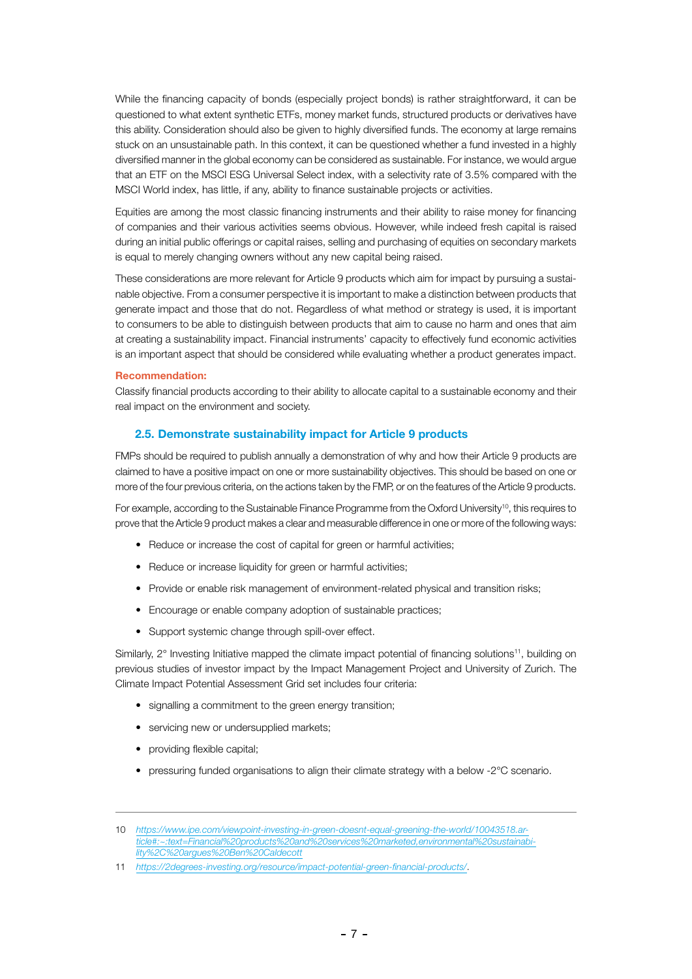While the financing capacity of bonds (especially project bonds) is rather straightforward, it can be questioned to what extent synthetic ETFs, money market funds, structured products or derivatives have this ability. Consideration should also be given to highly diversified funds. The economy at large remains stuck on an unsustainable path. In this context, it can be questioned whether a fund invested in a highly diversified manner in the global economy can be considered as sustainable. For instance, we would argue that an ETF on the MSCI ESG Universal Select index, with a selectivity rate of 3.5% compared with the MSCI World index, has little, if any, ability to finance sustainable projects or activities.

Equities are among the most classic financing instruments and their ability to raise money for financing of companies and their various activities seems obvious. However, while indeed fresh capital is raised during an initial public offerings or capital raises, selling and purchasing of equities on secondary markets is equal to merely changing owners without any new capital being raised.

These considerations are more relevant for Article 9 products which aim for impact by pursuing a sustainable objective. From a consumer perspective it is important to make a distinction between products that generate impact and those that do not. Regardless of what method or strategy is used, it is important to consumers to be able to distinguish between products that aim to cause no harm and ones that aim at creating a sustainability impact. Financial instruments' capacity to effectively fund economic activities is an important aspect that should be considered while evaluating whether a product generates impact.

#### Recommendation:

Classify financial products according to their ability to allocate capital to a sustainable economy and their real impact on the environment and society.

# 2.5. Demonstrate sustainability impact for Article 9 products

FMPs should be required to publish annually a demonstration of why and how their Article 9 products are claimed to have a positive impact on one or more sustainability objectives. This should be based on one or more of the four previous criteria, on the actions taken by the FMP, or on the features of the Article 9 products.

For example, according to the Sustainable Finance Programme from the Oxford University<sup>10</sup>, this requires to prove that the Article 9 product makes a clear and measurable difference in one or more of the following ways:

- Reduce or increase the cost of capital for green or harmful activities;
- Reduce or increase liquidity for green or harmful activities;
- Provide or enable risk management of environment-related physical and transition risks;
- Encourage or enable company adoption of sustainable practices;
- Support systemic change through spill-over effect.

Similarly, 2° Investing Initiative mapped the climate impact potential of financing solutions<sup>11</sup>, building on previous studies of investor impact by the Impact Management Project and University of Zurich. The Climate Impact Potential Assessment Grid set includes four criteria:

- signalling a commitment to the green energy transition;
- servicing new or undersupplied markets;
- providing flexible capital:
- pressuring funded organisations to align their climate strategy with a below -2°C scenario.

<sup>10</sup> *[https://www.ipe.com/viewpoint-investing-in-green-doesnt-equal-greening-the-world/10043518.ar](https://www.ipe.com/viewpoint-investing-in-green-doesnt-equal-greening-the-world/10043518.article#:~:text=Financial%20products%20and%20services%20marketed,environmental%20sustainability%2C%20argues%20Ben%20Caldecott)[ticle#](https://www.ipe.com/viewpoint-investing-in-green-doesnt-equal-greening-the-world/10043518.article#:~:text=Financial%20products%20and%20services%20marketed,environmental%20sustainability%2C%20argues%20Ben%20Caldecott):~:text=Financial%20products%20and%20services%20marketed,environmental%20sustainability%2C%20argues%20Ben%20Caldecott*

<sup>11</sup> *<https://2degrees-investing.org/resource/impact-potential-green-financial-products/>*.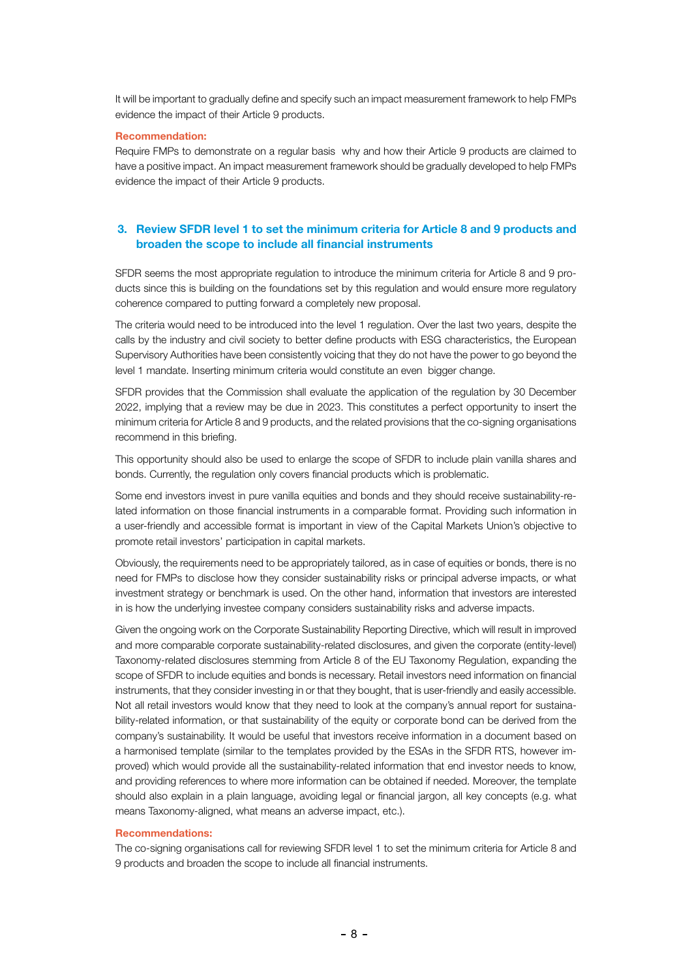It will be important to gradually define and specify such an impact measurement framework to help FMPs evidence the impact of their Article 9 products.

#### Recommendation:

Require FMPs to demonstrate on a regular basis why and how their Article 9 products are claimed to have a positive impact. An impact measurement framework should be gradually developed to help FMPs evidence the impact of their Article 9 products.

# 3. Review SFDR level 1 to set the minimum criteria for Article 8 and 9 products and broaden the scope to include all financial instruments

SFDR seems the most appropriate regulation to introduce the minimum criteria for Article 8 and 9 products since this is building on the foundations set by this regulation and would ensure more regulatory coherence compared to putting forward a completely new proposal.

The criteria would need to be introduced into the level 1 regulation. Over the last two years, despite the calls by the industry and civil society to better define products with ESG characteristics, the European Supervisory Authorities have been consistently voicing that they do not have the power to go beyond the level 1 mandate. Inserting minimum criteria would constitute an even bigger change.

SFDR provides that the Commission shall evaluate the application of the regulation by 30 December 2022, implying that a review may be due in 2023. This constitutes a perfect opportunity to insert the minimum criteria for Article 8 and 9 products, and the related provisions that the co-signing organisations recommend in this briefing.

This opportunity should also be used to enlarge the scope of SFDR to include plain vanilla shares and bonds. Currently, the regulation only covers financial products which is problematic.

Some end investors invest in pure vanilla equities and bonds and they should receive sustainability-related information on those financial instruments in a comparable format. Providing such information in a user-friendly and accessible format is important in view of the Capital Markets Union's objective to promote retail investors' participation in capital markets.

Obviously, the requirements need to be appropriately tailored, as in case of equities or bonds, there is no need for FMPs to disclose how they consider sustainability risks or principal adverse impacts, or what investment strategy or benchmark is used. On the other hand, information that investors are interested in is how the underlying investee company considers sustainability risks and adverse impacts.

Given the ongoing work on the Corporate Sustainability Reporting Directive, which will result in improved and more comparable corporate sustainability-related disclosures, and given the corporate (entity-level) Taxonomy-related disclosures stemming from Article 8 of the EU Taxonomy Regulation, expanding the scope of SFDR to include equities and bonds is necessary. Retail investors need information on financial instruments, that they consider investing in or that they bought, that is user-friendly and easily accessible. Not all retail investors would know that they need to look at the company's annual report for sustainability-related information, or that sustainability of the equity or corporate bond can be derived from the company's sustainability. It would be useful that investors receive information in a document based on a harmonised template (similar to the templates provided by the ESAs in the SFDR RTS, however improved) which would provide all the sustainability-related information that end investor needs to know, and providing references to where more information can be obtained if needed. Moreover, the template should also explain in a plain language, avoiding legal or financial jargon, all key concepts (e.g. what means Taxonomy-aligned, what means an adverse impact, etc.).

#### Recommendations:

The co-signing organisations call for reviewing SFDR level 1 to set the minimum criteria for Article 8 and 9 products and broaden the scope to include all financial instruments.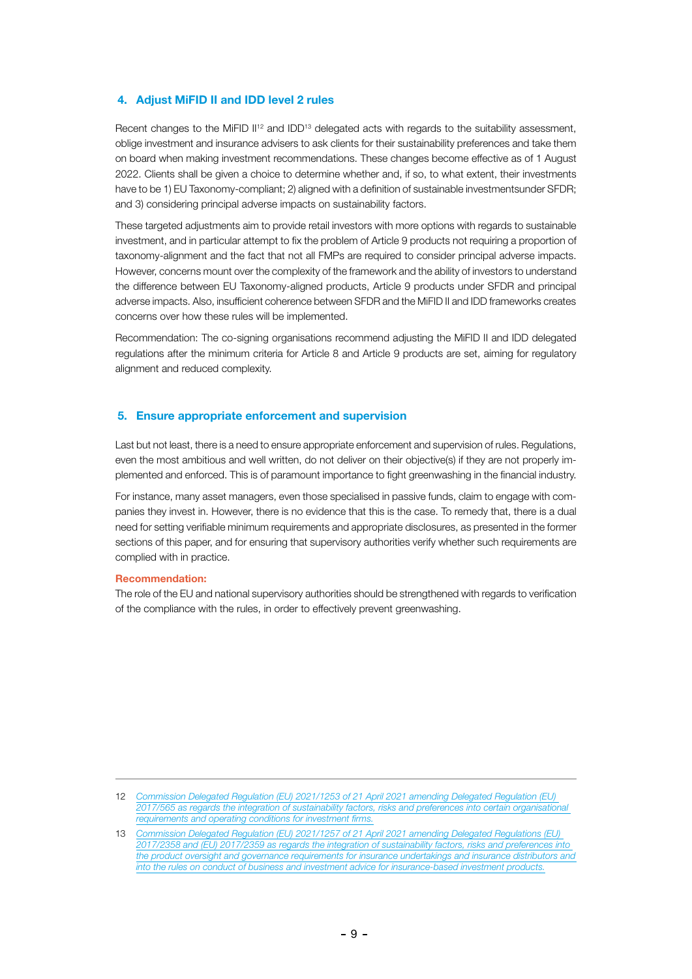## 4. Adjust MiFID II and IDD level 2 rules

Recent changes to the MiFID II<sup>12</sup> and IDD<sup>13</sup> delegated acts with regards to the suitability assessment, oblige investment and insurance advisers to ask clients for their sustainability preferences and take them on board when making investment recommendations. These changes become effective as of 1 August 2022. Clients shall be given a choice to determine whether and, if so, to what extent, their investments have to be 1) EU Taxonomy-compliant; 2) aligned with a definition of sustainable investmentsunder SFDR; and 3) considering principal adverse impacts on sustainability factors.

These targeted adjustments aim to provide retail investors with more options with regards to sustainable investment, and in particular attempt to fix the problem of Article 9 products not requiring a proportion of taxonomy-alignment and the fact that not all FMPs are required to consider principal adverse impacts. However, concerns mount over the complexity of the framework and the ability of investors to understand the difference between EU Taxonomy-aligned products, Article 9 products under SFDR and principal adverse impacts. Also, insufficient coherence between SFDR and the MiFID II and IDD frameworks creates concerns over how these rules will be implemented.

Recommendation: The co-signing organisations recommend adjusting the MiFID II and IDD delegated regulations after the minimum criteria for Article 8 and Article 9 products are set, aiming for regulatory alignment and reduced complexity.

# 5. Ensure appropriate enforcement and supervision

Last but not least, there is a need to ensure appropriate enforcement and supervision of rules. Regulations, even the most ambitious and well written, do not deliver on their objective(s) if they are not properly implemented and enforced. This is of paramount importance to fight greenwashing in the financial industry.

For instance, many asset managers, even those specialised in passive funds, claim to engage with companies they invest in. However, there is no evidence that this is the case. To remedy that, there is a dual need for setting verifiable minimum requirements and appropriate disclosures, as presented in the former sections of this paper, and for ensuring that supervisory authorities verify whether such requirements are complied with in practice.

## Recommendation:

The role of the EU and national supervisory authorities should be strengthened with regards to verification of the compliance with the rules, in order to effectively prevent greenwashing.

12 *[Commission Delegated Regulation \(EU\) 2021/1253 of 21 April 2021 amending Delegated Regulation \(EU\)](https://eur-lex.europa.eu/legal-content/EN/TXT/?uri=CELEX%3A32021R1253&qid=1644938787610)  [2017/565 as regards the integration of sustainability factors, risks and preferences into certain organisational](https://eur-lex.europa.eu/legal-content/EN/TXT/?uri=CELEX%3A32021R1253&qid=1644938787610)  [requirements and operating conditions for investment firms.](https://eur-lex.europa.eu/legal-content/EN/TXT/?uri=CELEX%3A32021R1253&qid=1644938787610)*

<sup>13</sup> *[Commission Delegated Regulation \(EU\) 2021/1257 of 21 April 2021 amending Delegated Regulations \(EU\)](https://eur-lex.europa.eu/legal-content/EN/TXT/?uri=CELEX%3A32021R1257&qid=1628072502421)  [2017/2358 and \(EU\) 2017/2359 as regards the integration of sustainability factors, risks and preferences into](https://eur-lex.europa.eu/legal-content/EN/TXT/?uri=CELEX%3A32021R1257&qid=1628072502421)  [the product oversight and governance requirements for insurance undertakings and insurance distributors and](https://eur-lex.europa.eu/legal-content/EN/TXT/?uri=CELEX%3A32021R1257&qid=1628072502421)  [into the rules on conduct of business and investment advice for insurance-based investment products.](https://eur-lex.europa.eu/legal-content/EN/TXT/?uri=CELEX%3A32021R1257&qid=1628072502421)*